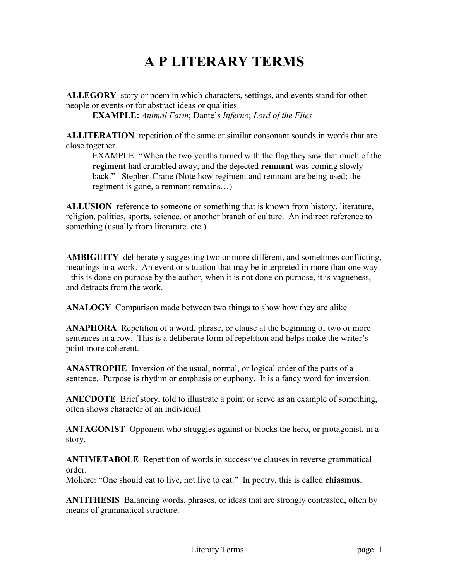## **A P LITERARY TERMS**

**ALLEGORY** story or poem in which characters, settings, and events stand for other people or events or for abstract ideas or qualities.

**EXAMPLE:** *Animal Farm*; Dante's *Inferno*; *Lord of the Flies*

**ALLITERATION** repetition of the same or similar consonant sounds in words that are close together.

EXAMPLE: "When the two youths turned with the flag they saw that much of the **regiment** had crumbled away, and the dejected **remnant** was coming slowly back." –Stephen Crane (Note how regiment and remnant are being used; the regiment is gone, a remnant remains…)

**ALLUSION** reference to someone or something that is known from history, literature, religion, politics, sports, science, or another branch of culture. An indirect reference to something (usually from literature, etc.).

**AMBIGUITY** deliberately suggesting two or more different, and sometimes conflicting, meanings in a work. An event or situation that may be interpreted in more than one way- - this is done on purpose by the author, when it is not done on purpose, it is vagueness, and detracts from the work.

**ANALOGY** Comparison made between two things to show how they are alike

**ANAPHORA** Repetition of a word, phrase, or clause at the beginning of two or more sentences in a row. This is a deliberate form of repetition and helps make the writer's point more coherent.

**ANASTROPHE** Inversion of the usual, normal, or logical order of the parts of a sentence. Purpose is rhythm or emphasis or euphony. It is a fancy word for inversion.

**ANECDOTE** Brief story, told to illustrate a point or serve as an example of something, often shows character of an individual

**ANTAGONIST** Opponent who struggles against or blocks the hero, or protagonist, in a story.

**ANTIMETABOLE** Repetition of words in successive clauses in reverse grammatical order.

Moliere: "One should eat to live, not live to eat." In poetry, this is called **chiasmus**.

**ANTITHESIS** Balancing words, phrases, or ideas that are strongly contrasted, often by means of grammatical structure.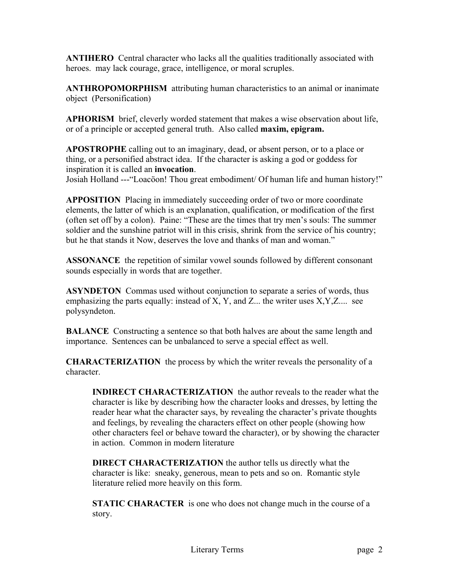**ANTIHERO** Central character who lacks all the qualities traditionally associated with heroes. may lack courage, grace, intelligence, or moral scruples.

**ANTHROPOMORPHISM** attributing human characteristics to an animal or inanimate object (Personification)

**APHORISM** brief, cleverly worded statement that makes a wise observation about life, or of a principle or accepted general truth. Also called **maxim, epigram.**

**APOSTROPHE** calling out to an imaginary, dead, or absent person, or to a place or thing, or a personified abstract idea. If the character is asking a god or goddess for inspiration it is called an **invocation**.

Josiah Holland ---"Loacöon! Thou great embodiment/ Of human life and human history!"

**APPOSITION** Placing in immediately succeeding order of two or more coordinate elements, the latter of which is an explanation, qualification, or modification of the first (often set off by a colon). Paine: "These are the times that try men's souls: The summer soldier and the sunshine patriot will in this crisis, shrink from the service of his country; but he that stands it Now, deserves the love and thanks of man and woman."

**ASSONANCE** the repetition of similar vowel sounds followed by different consonant sounds especially in words that are together.

**ASYNDETON** Commas used without conjunction to separate a series of words, thus emphasizing the parts equally: instead of X, Y, and Z... the writer uses  $X, Y, Z, \ldots$  see polysyndeton.

**BALANCE** Constructing a sentence so that both halves are about the same length and importance. Sentences can be unbalanced to serve a special effect as well.

**CHARACTERIZATION** the process by which the writer reveals the personality of a character.

**INDIRECT CHARACTERIZATION** the author reveals to the reader what the character is like by describing how the character looks and dresses, by letting the reader hear what the character says, by revealing the character's private thoughts and feelings, by revealing the characters effect on other people (showing how other characters feel or behave toward the character), or by showing the character in action. Common in modern literature

**DIRECT CHARACTERIZATION** the author tells us directly what the character is like: sneaky, generous, mean to pets and so on. Romantic style literature relied more heavily on this form.

**STATIC CHARACTER** is one who does not change much in the course of a story.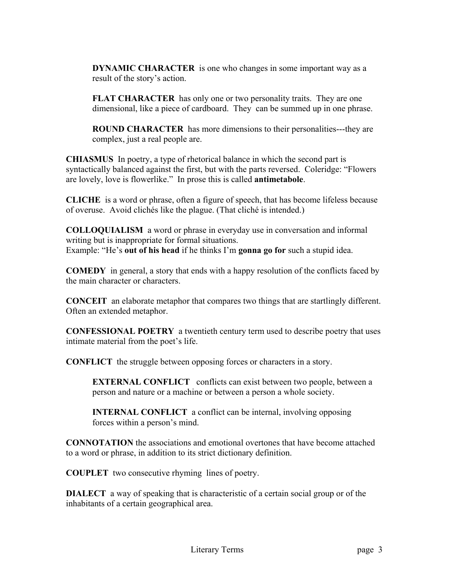**DYNAMIC CHARACTER** is one who changes in some important way as a result of the story's action.

FLAT CHARACTER has only one or two personality traits. They are one dimensional, like a piece of cardboard. They can be summed up in one phrase.

**ROUND CHARACTER** has more dimensions to their personalities---they are complex, just a real people are.

**CHIASMUS** In poetry, a type of rhetorical balance in which the second part is syntactically balanced against the first, but with the parts reversed. Coleridge: "Flowers are lovely, love is flowerlike." In prose this is called **antimetabole**.

**CLICHE** is a word or phrase, often a figure of speech, that has become lifeless because of overuse. Avoid clichés like the plague. (That cliché is intended.)

**COLLOQUIALISM** a word or phrase in everyday use in conversation and informal writing but is inappropriate for formal situations. Example: "He's **out of his head** if he thinks I'm **gonna go for** such a stupid idea.

**COMEDY** in general, a story that ends with a happy resolution of the conflicts faced by the main character or characters.

**CONCEIT** an elaborate metaphor that compares two things that are startlingly different. Often an extended metaphor.

**CONFESSIONAL POETRY** a twentieth century term used to describe poetry that uses intimate material from the poet's life.

**CONFLICT** the struggle between opposing forces or characters in a story.

**EXTERNAL CONFLICT** conflicts can exist between two people, between a person and nature or a machine or between a person a whole society.

**INTERNAL CONFLICT** a conflict can be internal, involving opposing forces within a person's mind.

**CONNOTATION** the associations and emotional overtones that have become attached to a word or phrase, in addition to its strict dictionary definition.

**COUPLET** two consecutive rhyming lines of poetry.

**DIALECT** a way of speaking that is characteristic of a certain social group or of the inhabitants of a certain geographical area.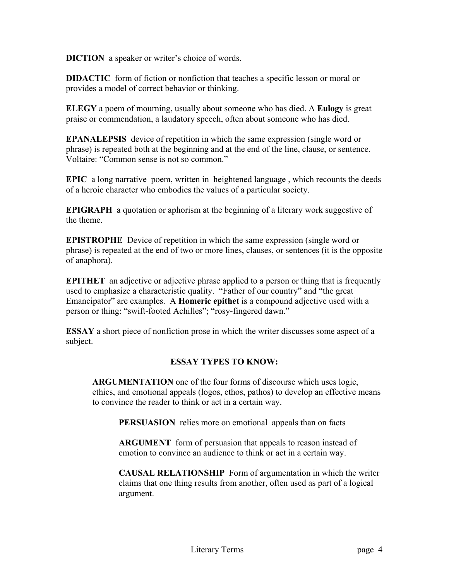**DICTION** a speaker or writer's choice of words.

**DIDACTIC** form of fiction or nonfiction that teaches a specific lesson or moral or provides a model of correct behavior or thinking.

**ELEGY** a poem of mourning, usually about someone who has died. A **Eulogy** is great praise or commendation, a laudatory speech, often about someone who has died.

**EPANALEPSIS** device of repetition in which the same expression (single word or phrase) is repeated both at the beginning and at the end of the line, clause, or sentence. Voltaire: "Common sense is not so common."

**EPIC** a long narrative poem, written in heightened language , which recounts the deeds of a heroic character who embodies the values of a particular society.

**EPIGRAPH** a quotation or aphorism at the beginning of a literary work suggestive of the theme.

**EPISTROPHE** Device of repetition in which the same expression (single word or phrase) is repeated at the end of two or more lines, clauses, or sentences (it is the opposite of anaphora).

**EPITHET** an adjective or adjective phrase applied to a person or thing that is frequently used to emphasize a characteristic quality. "Father of our country" and "the great Emancipator" are examples. A **Homeric epithet** is a compound adjective used with a person or thing: "swift-footed Achilles"; "rosy-fingered dawn."

**ESSAY** a short piece of nonfiction prose in which the writer discusses some aspect of a subject.

## **ESSAY TYPES TO KNOW:**

**ARGUMENTATION** one of the four forms of discourse which uses logic, ethics, and emotional appeals (logos, ethos, pathos) to develop an effective means to convince the reader to think or act in a certain way.

**PERSUASION** relies more on emotional appeals than on facts

 **ARGUMENT** form of persuasion that appeals to reason instead of emotion to convince an audience to think or act in a certain way.

 **CAUSAL RELATIONSHIP** Form of argumentation in which the writer claims that one thing results from another, often used as part of a logical argument.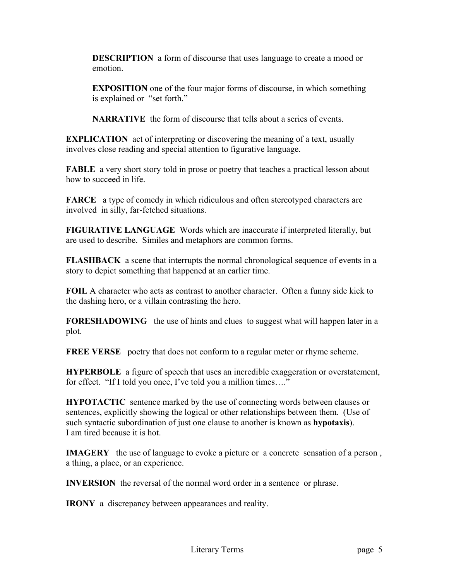**DESCRIPTION** a form of discourse that uses language to create a mood or emotion.

**EXPOSITION** one of the four major forms of discourse, in which something is explained or "set forth."

**NARRATIVE** the form of discourse that tells about a series of events.

**EXPLICATION** act of interpreting or discovering the meaning of a text, usually involves close reading and special attention to figurative language.

**FABLE** a very short story told in prose or poetry that teaches a practical lesson about how to succeed in life.

**FARCE** a type of comedy in which ridiculous and often stereotyped characters are involved in silly, far-fetched situations.

**FIGURATIVE LANGUAGE** Words which are inaccurate if interpreted literally, but are used to describe. Similes and metaphors are common forms.

**FLASHBACK** a scene that interrupts the normal chronological sequence of events in a story to depict something that happened at an earlier time.

**FOIL** A character who acts as contrast to another character. Often a funny side kick to the dashing hero, or a villain contrasting the hero.

**FORESHADOWING** the use of hints and clues to suggest what will happen later in a plot.

**FREE VERSE** poetry that does not conform to a regular meter or rhyme scheme.

**HYPERBOLE** a figure of speech that uses an incredible exaggeration or overstatement, for effect. "If I told you once, I've told you a million times…."

**HYPOTACTIC** sentence marked by the use of connecting words between clauses or sentences, explicitly showing the logical or other relationships between them. (Use of such syntactic subordination of just one clause to another is known as **hypotaxis**). I am tired because it is hot.

**IMAGERY** the use of language to evoke a picture or a concrete sensation of a person, a thing, a place, or an experience.

**INVERSION** the reversal of the normal word order in a sentence or phrase.

**IRONY** a discrepancy between appearances and reality.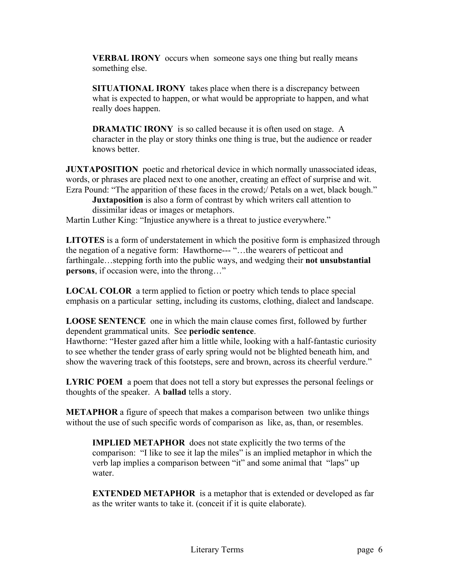**VERBAL IRONY** occurs when someone says one thing but really means something else.

**SITUATIONAL IRONY** takes place when there is a discrepancy between what is expected to happen, or what would be appropriate to happen, and what really does happen.

**DRAMATIC IRONY** is so called because it is often used on stage. A character in the play or story thinks one thing is true, but the audience or reader knows better.

**JUXTAPOSITION** poetic and rhetorical device in which normally unassociated ideas, words, or phrases are placed next to one another, creating an effect of surprise and wit. Ezra Pound: "The apparition of these faces in the crowd:/ Petals on a wet, black bough."

**Juxtaposition** is also a form of contrast by which writers call attention to dissimilar ideas or images or metaphors.

Martin Luther King: "Injustice anywhere is a threat to justice everywhere."

**LITOTES** is a form of understatement in which the positive form is emphasized through the negation of a negative form: Hawthorne--- "…the wearers of petticoat and farthingale…stepping forth into the public ways, and wedging their **not unsubstantial persons**, if occasion were, into the throng…"

**LOCAL COLOR** a term applied to fiction or poetry which tends to place special emphasis on a particular setting, including its customs, clothing, dialect and landscape.

**LOOSE SENTENCE** one in which the main clause comes first, followed by further dependent grammatical units. See **periodic sentence**.

Hawthorne: "Hester gazed after him a little while, looking with a half-fantastic curiosity to see whether the tender grass of early spring would not be blighted beneath him, and show the wavering track of this footsteps, sere and brown, across its cheerful verdure."

**LYRIC POEM** a poem that does not tell a story but expresses the personal feelings or thoughts of the speaker. A **ballad** tells a story.

**METAPHOR** a figure of speech that makes a comparison between two unlike things without the use of such specific words of comparison as like, as, than, or resembles.

**IMPLIED METAPHOR** does not state explicitly the two terms of the comparison: "I like to see it lap the miles" is an implied metaphor in which the verb lap implies a comparison between "it" and some animal that "laps" up water.

**EXTENDED METAPHOR** is a metaphor that is extended or developed as far as the writer wants to take it. (conceit if it is quite elaborate).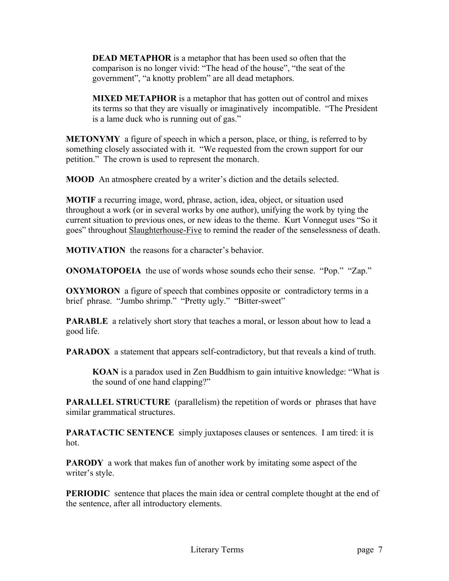**DEAD METAPHOR** is a metaphor that has been used so often that the comparison is no longer vivid: "The head of the house", "the seat of the government", "a knotty problem" are all dead metaphors.

**MIXED METAPHOR** is a metaphor that has gotten out of control and mixes its terms so that they are visually or imaginatively incompatible. "The President is a lame duck who is running out of gas."

**METONYMY** a figure of speech in which a person, place, or thing, is referred to by something closely associated with it. "We requested from the crown support for our petition." The crown is used to represent the monarch.

**MOOD** An atmosphere created by a writer's diction and the details selected.

**MOTIF** a recurring image, word, phrase, action, idea, object, or situation used throughout a work (or in several works by one author), unifying the work by tying the current situation to previous ones, or new ideas to the theme. Kurt Vonnegut uses "So it goes" throughout Slaughterhouse-Five to remind the reader of the senselessness of death.

**MOTIVATION** the reasons for a character's behavior.

**ONOMATOPOEIA** the use of words whose sounds echo their sense. "Pop." "Zap."

**OXYMORON** a figure of speech that combines opposite or contradictory terms in a brief phrase. "Jumbo shrimp." "Pretty ugly." "Bitter-sweet"

**PARABLE** a relatively short story that teaches a moral, or lesson about how to lead a good life.

**PARADOX** a statement that appears self-contradictory, but that reveals a kind of truth.

**KOAN** is a paradox used in Zen Buddhism to gain intuitive knowledge: "What is the sound of one hand clapping?"

**PARALLEL STRUCTURE** (parallelism) the repetition of words or phrases that have similar grammatical structures.

**PARATACTIC SENTENCE** simply juxtaposes clauses or sentences. I am tired: it is hot.

**PARODY** a work that makes fun of another work by imitating some aspect of the writer's style.

**PERIODIC** sentence that places the main idea or central complete thought at the end of the sentence, after all introductory elements.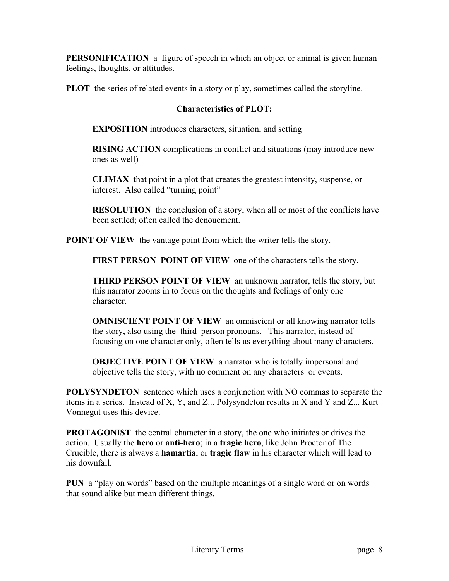**PERSONIFICATION** a figure of speech in which an object or animal is given human feelings, thoughts, or attitudes.

**PLOT** the series of related events in a story or play, sometimes called the storyline.

## **Characteristics of PLOT:**

**EXPOSITION** introduces characters, situation, and setting

**RISING ACTION** complications in conflict and situations (may introduce new ones as well)

**CLIMAX** that point in a plot that creates the greatest intensity, suspense, or interest. Also called "turning point"

**RESOLUTION** the conclusion of a story, when all or most of the conflicts have been settled; often called the denouement.

**POINT OF VIEW** the vantage point from which the writer tells the story.

**FIRST PERSON POINT OF VIEW** one of the characters tells the story.

**THIRD PERSON POINT OF VIEW** an unknown narrator, tells the story, but this narrator zooms in to focus on the thoughts and feelings of only one character.

**OMNISCIENT POINT OF VIEW** an omniscient or all knowing narrator tells the story, also using the third person pronouns. This narrator, instead of focusing on one character only, often tells us everything about many characters.

**OBJECTIVE POINT OF VIEW** a narrator who is totally impersonal and objective tells the story, with no comment on any characters or events.

**POLYSYNDETON** sentence which uses a conjunction with NO commas to separate the items in a series. Instead of X, Y, and Z... Polysyndeton results in X and Y and Z... Kurt Vonnegut uses this device.

**PROTAGONIST** the central character in a story, the one who initiates or drives the action. Usually the **hero** or **anti-hero**; in a **tragic hero**, like John Proctor of The Crucible, there is always a **hamartia**, or **tragic flaw** in his character which will lead to his downfall.

**PUN** a "play on words" based on the multiple meanings of a single word or on words that sound alike but mean different things.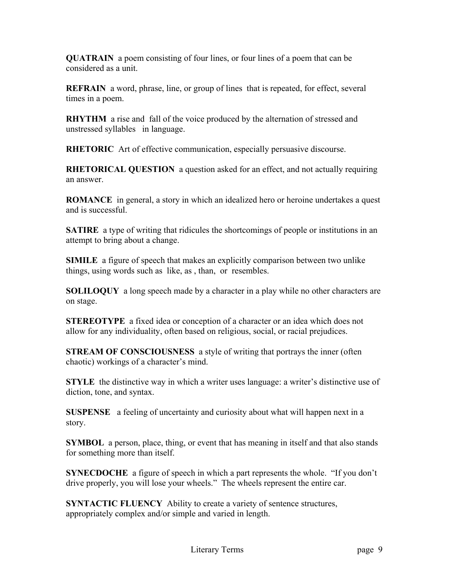**QUATRAIN** a poem consisting of four lines, or four lines of a poem that can be considered as a unit.

**REFRAIN** a word, phrase, line, or group of lines that is repeated, for effect, several times in a poem.

**RHYTHM** a rise and fall of the voice produced by the alternation of stressed and unstressed syllables in language.

**RHETORIC** Art of effective communication, especially persuasive discourse.

**RHETORICAL QUESTION** a question asked for an effect, and not actually requiring an answer.

**ROMANCE** in general, a story in which an idealized hero or heroine undertakes a quest and is successful.

**SATIRE** a type of writing that ridicules the shortcomings of people or institutions in an attempt to bring about a change.

**SIMILE** a figure of speech that makes an explicitly comparison between two unlike things, using words such as like, as , than, or resembles.

**SOLILOQUY** a long speech made by a character in a play while no other characters are on stage.

**STEREOTYPE** a fixed idea or conception of a character or an idea which does not allow for any individuality, often based on religious, social, or racial prejudices.

**STREAM OF CONSCIOUSNESS** a style of writing that portrays the inner (often chaotic) workings of a character's mind.

**STYLE** the distinctive way in which a writer uses language: a writer's distinctive use of diction, tone, and syntax.

**SUSPENSE** a feeling of uncertainty and curiosity about what will happen next in a story.

**SYMBOL** a person, place, thing, or event that has meaning in itself and that also stands for something more than itself.

**SYNECDOCHE** a figure of speech in which a part represents the whole. "If you don't drive properly, you will lose your wheels." The wheels represent the entire car.

**SYNTACTIC FLUENCY** Ability to create a variety of sentence structures, appropriately complex and/or simple and varied in length.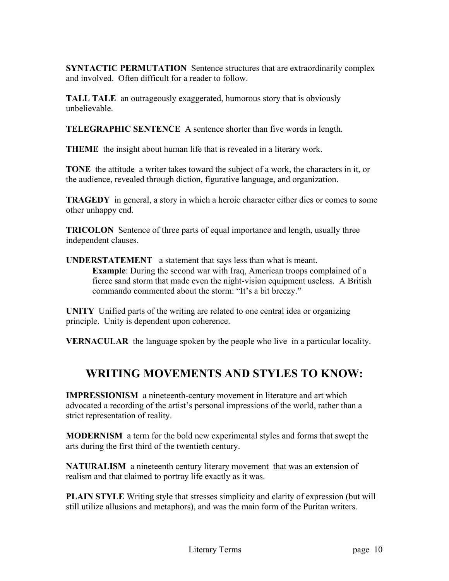**SYNTACTIC PERMUTATION** Sentence structures that are extraordinarily complex and involved. Often difficult for a reader to follow.

**TALL TALE** an outrageously exaggerated, humorous story that is obviously unbelievable.

**TELEGRAPHIC SENTENCE** A sentence shorter than five words in length.

**THEME** the insight about human life that is revealed in a literary work.

**TONE** the attitude a writer takes toward the subject of a work, the characters in it, or the audience, revealed through diction, figurative language, and organization.

**TRAGEDY** in general, a story in which a heroic character either dies or comes to some other unhappy end.

**TRICOLON** Sentence of three parts of equal importance and length, usually three independent clauses.

**UNDERSTATEMENT** a statement that says less than what is meant. **Example**: During the second war with Iraq, American troops complained of a fierce sand storm that made even the night-vision equipment useless. A British commando commented about the storm: "It's a bit breezy."

**UNITY** Unified parts of the writing are related to one central idea or organizing principle. Unity is dependent upon coherence.

**VERNACULAR** the language spoken by the people who live in a particular locality.

## **WRITING MOVEMENTS AND STYLES TO KNOW:**

**IMPRESSIONISM** a nineteenth-century movement in literature and art which advocated a recording of the artist's personal impressions of the world, rather than a strict representation of reality.

**MODERNISM** a term for the bold new experimental styles and forms that swept the arts during the first third of the twentieth century.

**NATURALISM** a nineteenth century literary movement that was an extension of realism and that claimed to portray life exactly as it was.

**PLAIN STYLE** Writing style that stresses simplicity and clarity of expression (but will still utilize allusions and metaphors), and was the main form of the Puritan writers.